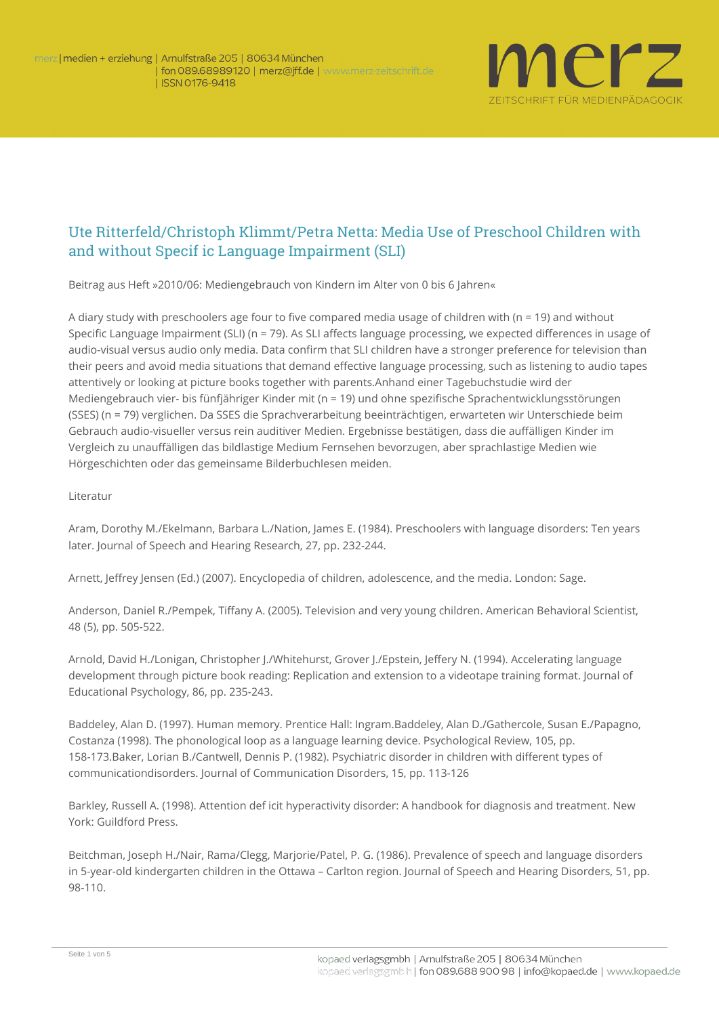

## Ute Ritterfeld/Christoph Klimmt/Petra Netta: Media Use of Preschool Children with and without Specif ic Language Impairment (SLI)

**Beitrag aus Heft »2010/06: Mediengebrauch von Kindern im Alter von 0 bis 6 Jahren«**

A diary study with preschoolers age four to five compared media usage of children with (n = 19) and without Specific Language Impairment (SLI) (n = 79). As SLI affects language processing, we expected differences in usage of audio-visual versus audio only media. Data confirm that SLI children have a stronger preference for television than their peers and avoid media situations that demand effective language processing, such as listening to audio tapes attentively or looking at picture books together with parents.Anhand einer Tagebuchstudie wird der Mediengebrauch vier- bis fünfjähriger Kinder mit (n = 19) und ohne spezifische Sprachentwicklungsstörungen (SSES) (n = 79) verglichen. Da SSES die Sprachverarbeitung beeinträchtigen, erwarteten wir Unterschiede beim Gebrauch audio-visueller versus rein auditiver Medien. Ergebnisse bestätigen, dass die auffälligen Kinder im Vergleich zu unauffälligen das bildlastige Medium Fernsehen bevorzugen, aber sprachlastige Medien wie Hörgeschichten oder das gemeinsame Bilderbuchlesen meiden.

## **Literatur**

Aram, Dorothy M./Ekelmann, Barbara L./Nation, James E. (1984). Preschoolers with language disorders: Ten years later. Journal of Speech and Hearing Research, 27, pp. 232-244.

Arnett, Jeffrey Jensen (Ed.) (2007). Encyclopedia of children, adolescence, and the media. London: Sage.

Anderson, Daniel R./Pempek, Tiffany A. (2005). Television and very young children. American Behavioral Scientist, 48 (5), pp. 505-522.

Arnold, David H./Lonigan, Christopher J./Whitehurst, Grover J./Epstein, Jeffery N. (1994). Accelerating language development through picture book reading: Replication and extension to a videotape training format. Journal of Educational Psychology, 86, pp. 235-243.

Baddeley, Alan D. (1997). Human memory. Prentice Hall: Ingram.Baddeley, Alan D./Gathercole, Susan E./Papagno, Costanza (1998). The phonological loop as a language learning device. Psychological Review, 105, pp. 158-173.Baker, Lorian B./Cantwell, Dennis P. (1982). Psychiatric disorder in children with different types of communicationdisorders. Journal of Communication Disorders, 15, pp. 113-126

Barkley, Russell A. (1998). Attention def icit hyperactivity disorder: A handbook for diagnosis and treatment. New York: Guildford Press.

Beitchman, Joseph H./Nair, Rama/Clegg, Marjorie/Patel, P. G. (1986). Prevalence of speech and language disorders in 5-year-old kindergarten children in the Ottawa – Carlton region. Journal of Speech and Hearing Disorders, 51, pp. 98-110.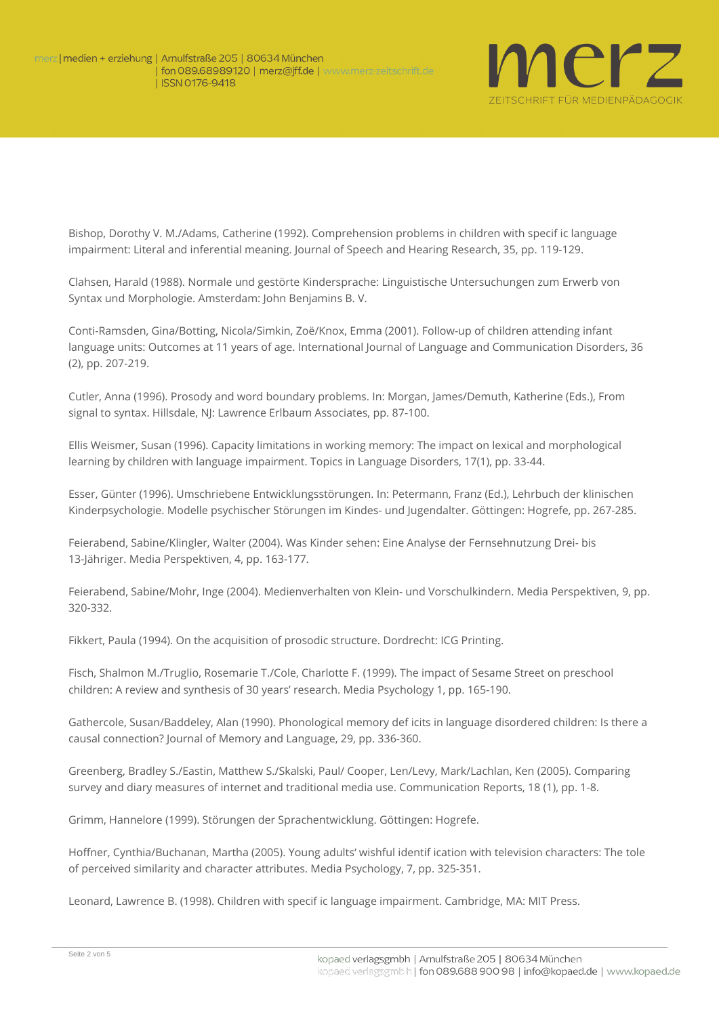

Bishop, Dorothy V. M./Adams, Catherine (1992). Comprehension problems in children with specif ic language impairment: Literal and inferential meaning. Journal of Speech and Hearing Research, 35, pp. 119-129.

Clahsen, Harald (1988). Normale und gestörte Kindersprache: Linguistische Untersuchungen zum Erwerb von Syntax und Morphologie. Amsterdam: John Benjamins B. V.

Conti-Ramsden, Gina/Botting, Nicola/Simkin, Zoë/Knox, Emma (2001). Follow-up of children attending infant language units: Outcomes at 11 years of age. International Journal of Language and Communication Disorders, 36 (2), pp. 207-219.

Cutler, Anna (1996). Prosody and word boundary problems. In: Morgan, James/Demuth, Katherine (Eds.), From signal to syntax. Hillsdale, NJ: Lawrence Erlbaum Associates, pp. 87-100.

Ellis Weismer, Susan (1996). Capacity limitations in working memory: The impact on lexical and morphological learning by children with language impairment. Topics in Language Disorders, 17(1), pp. 33-44.

Esser, Günter (1996). Umschriebene Entwicklungsstörungen. In: Petermann, Franz (Ed.), Lehrbuch der klinischen Kinderpsychologie. Modelle psychischer Störungen im Kindes- und Jugendalter. Göttingen: Hogrefe, pp. 267-285.

Feierabend, Sabine/Klingler, Walter (2004). Was Kinder sehen: Eine Analyse der Fernsehnutzung Drei- bis 13-Jähriger. Media Perspektiven, 4, pp. 163-177.

Feierabend, Sabine/Mohr, Inge (2004). Medienverhalten von Klein- und Vorschulkindern. Media Perspektiven, 9, pp. 320-332.

Fikkert, Paula (1994). On the acquisition of prosodic structure. Dordrecht: ICG Printing.

Fisch, Shalmon M./Truglio, Rosemarie T./Cole, Charlotte F. (1999). The impact of Sesame Street on preschool children: A review and synthesis of 30 years' research. Media Psychology 1, pp. 165-190.

Gathercole, Susan/Baddeley, Alan (1990). Phonological memory def icits in language disordered children: Is there a causal connection? Journal of Memory and Language, 29, pp. 336-360.

Greenberg, Bradley S./Eastin, Matthew S./Skalski, Paul/ Cooper, Len/Levy, Mark/Lachlan, Ken (2005). Comparing survey and diary measures of internet and traditional media use. Communication Reports, 18 (1), pp. 1-8.

Grimm, Hannelore (1999). Störungen der Sprachentwicklung. Göttingen: Hogrefe.

Hoffner, Cynthia/Buchanan, Martha (2005). Young adults' wishful identif ication with television characters: The tole of perceived similarity and character attributes. Media Psychology, 7, pp. 325-351.

Leonard, Lawrence B. (1998). Children with specif ic language impairment. Cambridge, MA: MIT Press.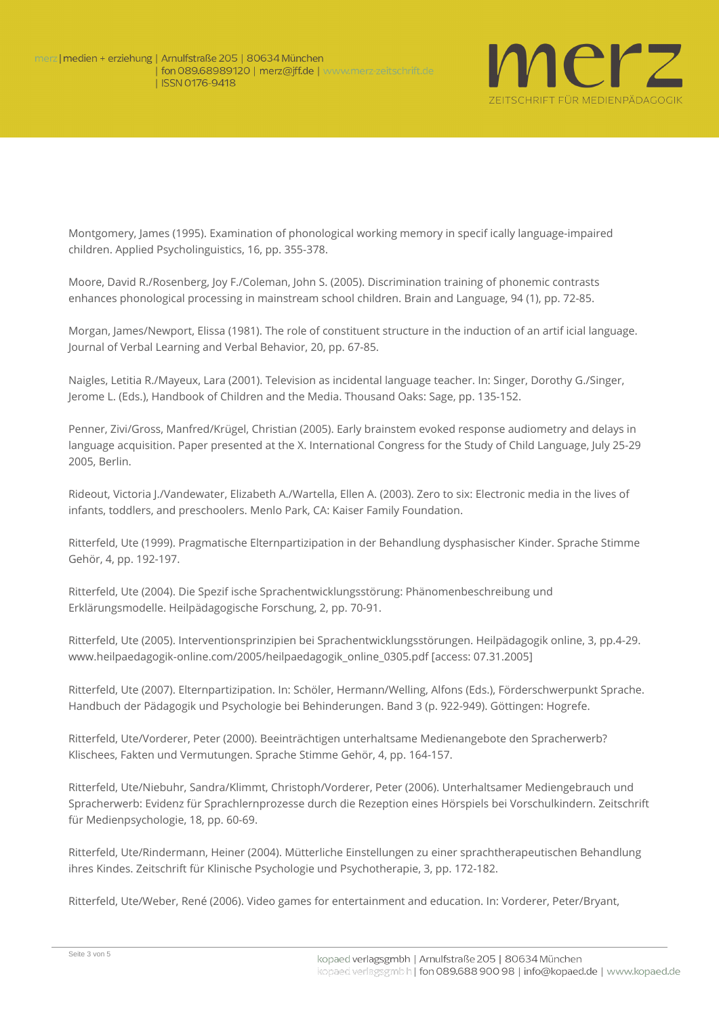

Montgomery, James (1995). Examination of phonological working memory in specif ically language-impaired children. Applied Psycholinguistics, 16, pp. 355-378.

Moore, David R./Rosenberg, Joy F./Coleman, John S. (2005). Discrimination training of phonemic contrasts enhances phonological processing in mainstream school children. Brain and Language, 94 (1), pp. 72-85.

Morgan, James/Newport, Elissa (1981). The role of constituent structure in the induction of an artif icial language. Journal of Verbal Learning and Verbal Behavior, 20, pp. 67-85.

Naigles, Letitia R./Mayeux, Lara (2001). Television as incidental language teacher. In: Singer, Dorothy G./Singer, Jerome L. (Eds.), Handbook of Children and the Media. Thousand Oaks: Sage, pp. 135-152.

Penner, Zivi/Gross, Manfred/Krügel, Christian (2005). Early brainstem evoked response audiometry and delays in language acquisition. Paper presented at the X. International Congress for the Study of Child Language, July 25-29 2005, Berlin.

Rideout, Victoria J./Vandewater, Elizabeth A./Wartella, Ellen A. (2003). Zero to six: Electronic media in the lives of infants, toddlers, and preschoolers. Menlo Park, CA: Kaiser Family Foundation.

Ritterfeld, Ute (1999). Pragmatische Elternpartizipation in der Behandlung dysphasischer Kinder. Sprache Stimme Gehör, 4, pp. 192-197.

Ritterfeld, Ute (2004). Die Spezif ische Sprachentwicklungsstörung: Phänomenbeschreibung und Erklärungsmodelle. Heilpädagogische Forschung, 2, pp. 70-91.

Ritterfeld, Ute (2005). Interventionsprinzipien bei Sprachentwicklungsstörungen. Heilpädagogik online, 3, pp.4-29. www.heilpaedagogik-online.com/2005/heilpaedagogik\_online\_0305.pdf [access: 07.31.2005]

Ritterfeld, Ute (2007). Elternpartizipation. In: Schöler, Hermann/Welling, Alfons (Eds.), Förderschwerpunkt Sprache. Handbuch der Pädagogik und Psychologie bei Behinderungen. Band 3 (p. 922-949). Göttingen: Hogrefe.

Ritterfeld, Ute/Vorderer, Peter (2000). Beeinträchtigen unterhaltsame Medienangebote den Spracherwerb? Klischees, Fakten und Vermutungen. Sprache Stimme Gehör, 4, pp. 164-157.

Ritterfeld, Ute/Niebuhr, Sandra/Klimmt, Christoph/Vorderer, Peter (2006). Unterhaltsamer Mediengebrauch und Spracherwerb: Evidenz für Sprachlernprozesse durch die Rezeption eines Hörspiels bei Vorschulkindern. Zeitschrift für Medienpsychologie, 18, pp. 60-69.

Ritterfeld, Ute/Rindermann, Heiner (2004). Mütterliche Einstellungen zu einer sprachtherapeutischen Behandlung ihres Kindes. Zeitschrift für Klinische Psychologie und Psychotherapie, 3, pp. 172-182.

Ritterfeld, Ute/Weber, René (2006). Video games for entertainment and education. In: Vorderer, Peter/Bryant,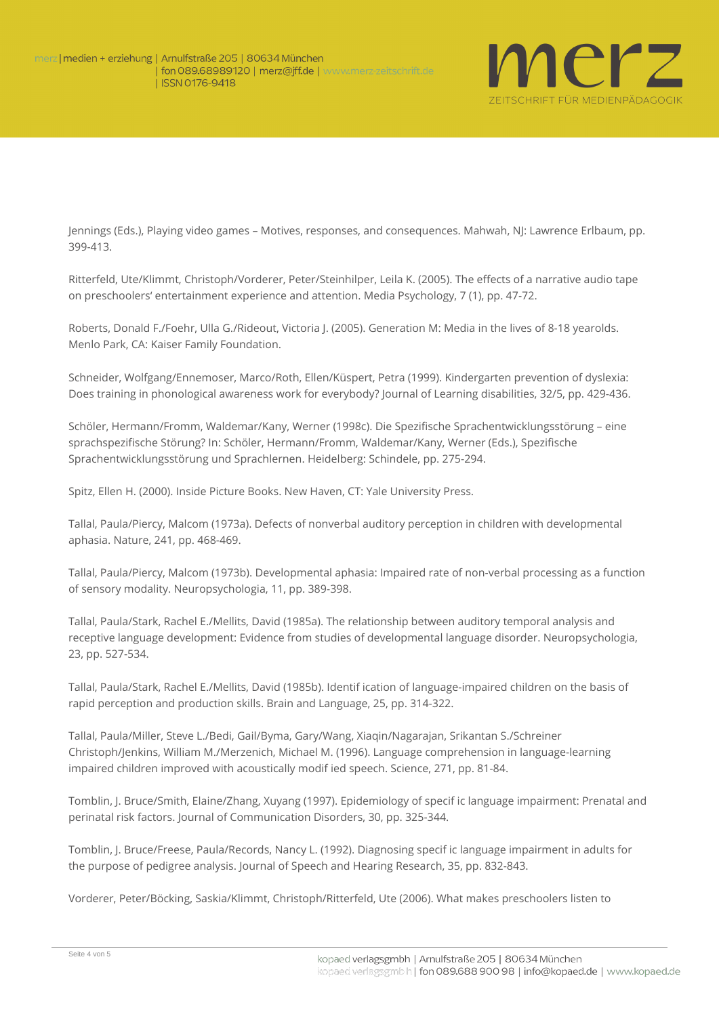

Jennings (Eds.), Playing video games – Motives, responses, and consequences. Mahwah, NJ: Lawrence Erlbaum, pp. 399-413.

Ritterfeld, Ute/Klimmt, Christoph/Vorderer, Peter/Steinhilper, Leila K. (2005). The effects of a narrative audio tape on preschoolers' entertainment experience and attention. Media Psychology, 7 (1), pp. 47-72.

Roberts, Donald F./Foehr, Ulla G./Rideout, Victoria J. (2005). Generation M: Media in the lives of 8-18 yearolds. Menlo Park, CA: Kaiser Family Foundation.

Schneider, Wolfgang/Ennemoser, Marco/Roth, Ellen/Küspert, Petra (1999). Kindergarten prevention of dyslexia: Does training in phonological awareness work for everybody? Journal of Learning disabilities, 32/5, pp. 429-436.

Schöler, Hermann/Fromm, Waldemar/Kany, Werner (1998c). Die Spezifische Sprachentwicklungsstörung – eine sprachspezifische Störung? In: Schöler, Hermann/Fromm, Waldemar/Kany, Werner (Eds.), Spezifische Sprachentwicklungsstörung und Sprachlernen. Heidelberg: Schindele, pp. 275-294.

Spitz, Ellen H. (2000). Inside Picture Books. New Haven, CT: Yale University Press.

Tallal, Paula/Piercy, Malcom (1973a). Defects of nonverbal auditory perception in children with developmental aphasia. Nature, 241, pp. 468-469.

Tallal, Paula/Piercy, Malcom (1973b). Developmental aphasia: Impaired rate of non-verbal processing as a function of sensory modality. Neuropsychologia, 11, pp. 389-398.

Tallal, Paula/Stark, Rachel E./Mellits, David (1985a). The relationship between auditory temporal analysis and receptive language development: Evidence from studies of developmental language disorder. Neuropsychologia, 23, pp. 527-534.

Tallal, Paula/Stark, Rachel E./Mellits, David (1985b). Identif ication of language-impaired children on the basis of rapid perception and production skills. Brain and Language, 25, pp. 314-322.

Tallal, Paula/Miller, Steve L./Bedi, Gail/Byma, Gary/Wang, Xiaqin/Nagarajan, Srikantan S./Schreiner Christoph/Jenkins, William M./Merzenich, Michael M. (1996). Language comprehension in language-learning impaired children improved with acoustically modif ied speech. Science, 271, pp. 81-84.

Tomblin, J. Bruce/Smith, Elaine/Zhang, Xuyang (1997). Epidemiology of specif ic language impairment: Prenatal and perinatal risk factors. Journal of Communication Disorders, 30, pp. 325-344.

Tomblin, J. Bruce/Freese, Paula/Records, Nancy L. (1992). Diagnosing specif ic language impairment in adults for the purpose of pedigree analysis. Journal of Speech and Hearing Research, 35, pp. 832-843.

Vorderer, Peter/Böcking, Saskia/Klimmt, Christoph/Ritterfeld, Ute (2006). What makes preschoolers listen to